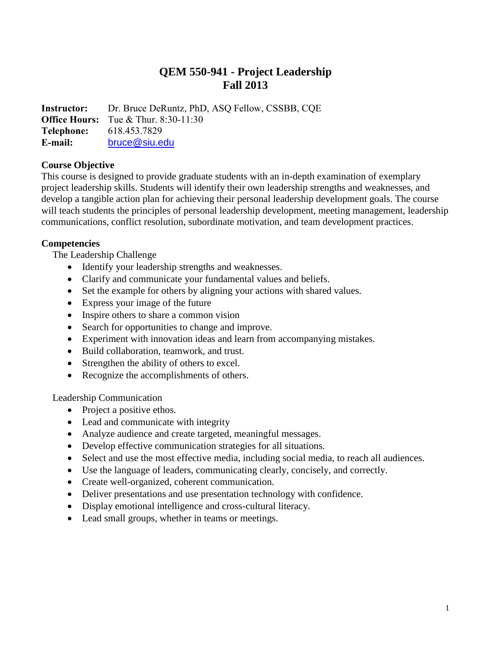# **QEM 550-941 - Project Leadership Fall 2013**

**Instructor:** Dr. Bruce DeRuntz, PhD, ASQ Fellow, CSSBB, CQE **Office Hours:** Tue & Thur. 8:30-11:30 **Telephone:** 618.453.7829 **E-mail:** [bruce@siu.edu](mailto:bruce@siu.edu)

#### **Course Objective**

This course is designed to provide graduate students with an in-depth examination of exemplary project leadership skills. Students will identify their own leadership strengths and weaknesses, and develop a tangible action plan for achieving their personal leadership development goals. The course will teach students the principles of personal leadership development, meeting management, leadership communications, conflict resolution, subordinate motivation, and team development practices.

#### **Competencies**

The Leadership Challenge

- Identify your leadership strengths and weaknesses.
- Clarify and communicate your fundamental values and beliefs.
- Set the example for others by aligning your actions with shared values.
- Express your image of the future
- Inspire others to share a common vision
- Search for opportunities to change and improve.
- Experiment with innovation ideas and learn from accompanying mistakes.
- Build collaboration, teamwork, and trust.
- Strengthen the ability of others to excel.
- Recognize the accomplishments of others.

Leadership Communication

- Project a positive ethos.
- Lead and communicate with integrity
- Analyze audience and create targeted, meaningful messages.
- Develop effective communication strategies for all situations.
- Select and use the most effective media, including social media, to reach all audiences.
- Use the language of leaders, communicating clearly, concisely, and correctly.
- Create well-organized, coherent communication.
- Deliver presentations and use presentation technology with confidence.
- Display emotional intelligence and cross-cultural literacy.
- Lead small groups, whether in teams or meetings.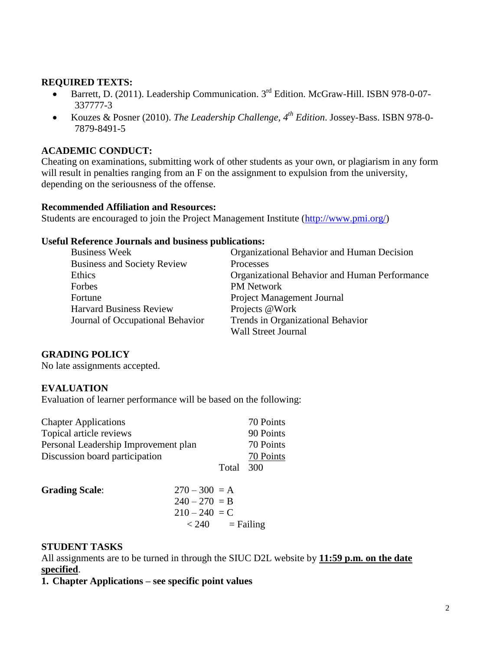#### **REQUIRED TEXTS:**

- Barrett, D. (2011). Leadership Communication. 3<sup>rd</sup> Edition. McGraw-Hill. ISBN 978-0-07-337777-3
- Kouzes & Posner (2010). *The Leadership Challenge, 4th Edition*. Jossey-Bass. ISBN 978-0- 7879-8491-5

#### **ACADEMIC CONDUCT:**

Cheating on examinations, submitting work of other students as your own, or plagiarism in any form will result in penalties ranging from an F on the assignment to expulsion from the university, depending on the seriousness of the offense.

#### **Recommended Affiliation and Resources:**

Students are encouraged to join the Project Management Institute [\(http://www.pmi.org/\)](http://www.pmi.org/)

#### **Useful Reference Journals and business publications:**

| <b>Business Week</b>               | Organizational Behavior and Human Decision    |
|------------------------------------|-----------------------------------------------|
| <b>Business and Society Review</b> | Processes                                     |
| Ethics                             | Organizational Behavior and Human Performance |
| Forbes                             | <b>PM</b> Network                             |
| Fortune                            | <b>Project Management Journal</b>             |
| <b>Harvard Business Review</b>     | Projects @Work                                |
| Journal of Occupational Behavior   | Trends in Organizational Behavior             |
|                                    | <b>Wall Street Journal</b>                    |

## **GRADING POLICY**

No late assignments accepted.

## **EVALUATION**

Evaluation of learner performance will be based on the following:

| <b>Chapter Applications</b>          |       | 70 Points |
|--------------------------------------|-------|-----------|
| Topical article reviews              |       | 90 Points |
| Personal Leadership Improvement plan |       | 70 Points |
| Discussion board participation       |       | 70 Points |
|                                      | Total | - 300     |

| <b>Grading Scale:</b> | $270 - 300 = A$      |
|-----------------------|----------------------|
|                       | $240 - 270 = B$      |
|                       | $210 - 240 = C$      |
|                       | $=$ Failing<br>< 240 |

## **STUDENT TASKS**

All assignments are to be turned in through the SIUC D2L website by **11:59 p.m. on the date specified**.

**1. Chapter Applications – see specific point values**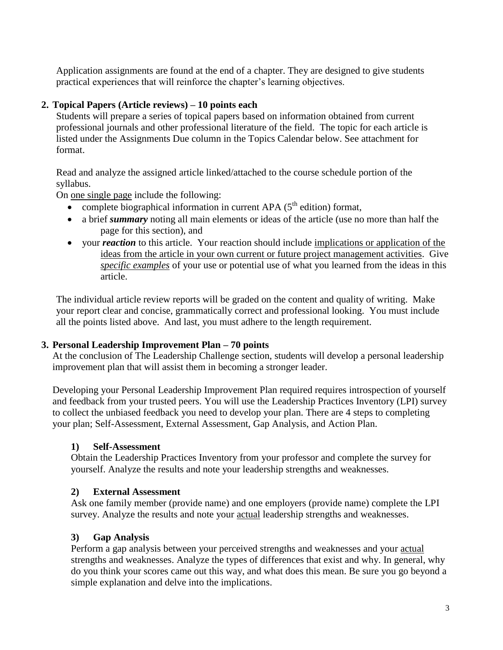Application assignments are found at the end of a chapter. They are designed to give students practical experiences that will reinforce the chapter's learning objectives.

#### **2. Topical Papers (Article reviews) – 10 points each**

Students will prepare a series of topical papers based on information obtained from current professional journals and other professional literature of the field. The topic for each article is listed under the Assignments Due column in the Topics Calendar below. See attachment for format.

Read and analyze the assigned article linked/attached to the course schedule portion of the syllabus.

On one single page include the following:

- complete biographical information in current APA  $(5<sup>th</sup>$  edition) format,
- a brief *summary* noting all main elements or ideas of the article (use no more than half the page for this section), and
- your *reaction* to this article. Your reaction should include implications or application of the ideas from the article in your own current or future project management activities. Give *specific examples* of your use or potential use of what you learned from the ideas in this article.

The individual article review reports will be graded on the content and quality of writing. Make your report clear and concise, grammatically correct and professional looking. You must include all the points listed above. And last, you must adhere to the length requirement.

#### **3. Personal Leadership Improvement Plan – 70 points**

At the conclusion of The Leadership Challenge section, students will develop a personal leadership improvement plan that will assist them in becoming a stronger leader.

Developing your Personal Leadership Improvement Plan required requires introspection of yourself and feedback from your trusted peers. You will use the Leadership Practices Inventory (LPI) survey to collect the unbiased feedback you need to develop your plan. There are 4 steps to completing your plan; Self-Assessment, External Assessment, Gap Analysis, and Action Plan.

## **1) Self-Assessment**

Obtain the Leadership Practices Inventory from your professor and complete the survey for yourself. Analyze the results and note your leadership strengths and weaknesses.

#### **2) External Assessment**

Ask one family member (provide name) and one employers (provide name) complete the LPI survey. Analyze the results and note your actual leadership strengths and weaknesses.

## **3) Gap Analysis**

Perform a gap analysis between your perceived strengths and weaknesses and your actual strengths and weaknesses. Analyze the types of differences that exist and why. In general, why do you think your scores came out this way, and what does this mean. Be sure you go beyond a simple explanation and delve into the implications.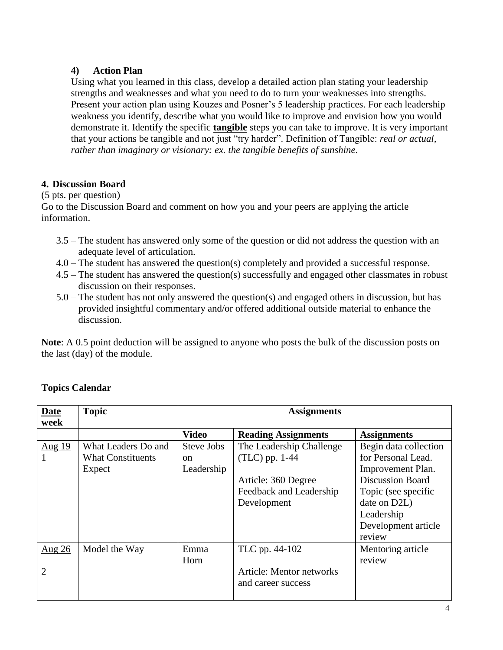# **4) Action Plan**

Using what you learned in this class, develop a detailed action plan stating your leadership strengths and weaknesses and what you need to do to turn your weaknesses into strengths. Present your action plan using Kouzes and Posner's 5 leadership practices. For each leadership weakness you identify, describe what you would like to improve and envision how you would demonstrate it. Identify the specific **tangible** steps you can take to improve. It is very important that your actions be tangible and not just "try harder". Definition of Tangible: *real or actual, rather than imaginary or visionary: ex. the tangible benefits of sunshine*.

# **4. Discussion Board**

(5 pts. per question)

Go to the Discussion Board and comment on how you and your peers are applying the article information.

- 3.5 The student has answered only some of the question or did not address the question with an adequate level of articulation.
- 4.0 The student has answered the question(s) completely and provided a successful response.
- 4.5 The student has answered the question(s) successfully and engaged other classmates in robust discussion on their responses.
- 5.0 The student has not only answered the question(s) and engaged others in discussion, but has provided insightful commentary and/or offered additional outside material to enhance the discussion.

**Note**: A 0.5 point deduction will be assigned to anyone who posts the bulk of the discussion posts on the last (day) of the module.

| Date<br>week                          | <b>Topic</b>             | <b>Assignments</b> |                                                       |                         |
|---------------------------------------|--------------------------|--------------------|-------------------------------------------------------|-------------------------|
|                                       |                          | <b>Video</b>       | <b>Reading Assignments</b>                            | <b>Assignments</b>      |
| $\frac{\text{Aug }19}{\text{Aug }19}$ | What Leaders Do and      | Steve Jobs         | The Leadership Challenge                              | Begin data collection   |
|                                       | <b>What Constituents</b> | <sub>on</sub>      | $(TLC)$ pp. 1-44                                      | for Personal Lead.      |
|                                       | Expect                   | Leadership         |                                                       | Improvement Plan.       |
|                                       |                          |                    | Article: 360 Degree                                   | <b>Discussion Board</b> |
|                                       |                          |                    | Feedback and Leadership                               | Topic (see specific     |
|                                       |                          |                    | Development                                           | date on D2L)            |
|                                       |                          |                    |                                                       | Leadership              |
|                                       |                          |                    |                                                       | Development article     |
|                                       |                          |                    |                                                       | review                  |
| Aug $26$                              | Model the Way            | Emma               | TLC pp. 44-102                                        | Mentoring article       |
|                                       |                          | Horn               |                                                       | review                  |
| 2                                     |                          |                    | <b>Article: Mentor networks</b><br>and career success |                         |

# **Topics Calendar**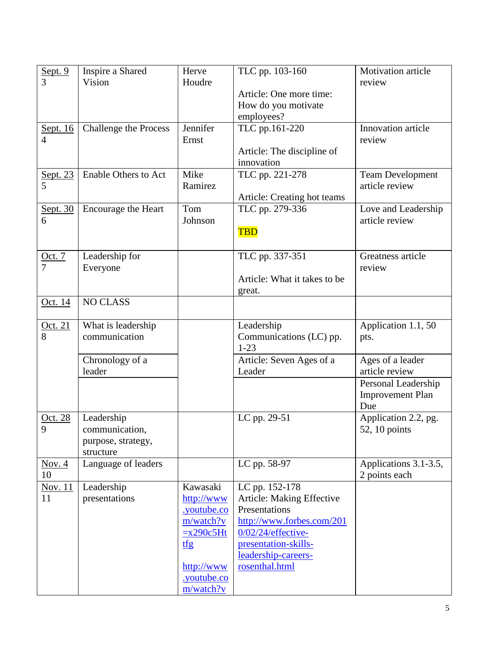| Sept. $9$      | Inspire a Shared           | Herve             | TLC pp. 103-160                          | Motivation article      |
|----------------|----------------------------|-------------------|------------------------------------------|-------------------------|
| 3              | Vision                     | Houdre            |                                          | review                  |
|                |                            |                   | Article: One more time:                  |                         |
|                |                            |                   | How do you motivate                      |                         |
|                |                            |                   | employees?                               |                         |
| Sept. 16       | Challenge the Process      | Jennifer          | TLC pp.161-220                           | Innovation article      |
| 4              |                            | Ernst             |                                          | review                  |
|                |                            |                   | Article: The discipline of<br>innovation |                         |
|                | Enable Others to Act       | Mike              | TLC pp. 221-278                          | <b>Team Development</b> |
| Sept. 23       |                            | Ramirez           |                                          | article review          |
|                |                            |                   | Article: Creating hot teams              |                         |
| Sept. 30       | <b>Encourage the Heart</b> | Tom               | TLC pp. 279-336                          | Love and Leadership     |
| 6              |                            | Johnson           |                                          | article review          |
|                |                            |                   | <b>TBD</b>                               |                         |
|                |                            |                   |                                          |                         |
| Oct. $7$       | Leadership for             |                   | TLC pp. 337-351                          | Greatness article       |
|                | Everyone                   |                   |                                          | review                  |
|                |                            |                   | Article: What it takes to be             |                         |
|                |                            |                   | great.                                   |                         |
| Oct. 14        | <b>NO CLASS</b>            |                   |                                          |                         |
|                |                            |                   |                                          |                         |
| Oct. 21        | What is leadership         |                   | Leadership                               | Application 1.1, 50     |
| 8              | communication              |                   | Communications (LC) pp.<br>$1 - 23$      | pts.                    |
|                | Chronology of a            |                   | Article: Seven Ages of a                 | Ages of a leader        |
|                | leader                     |                   | Leader                                   | article review          |
|                |                            |                   |                                          | Personal Leadership     |
|                |                            |                   |                                          | <b>Improvement Plan</b> |
|                |                            |                   |                                          | Due                     |
| Oct. 28        | Leadership                 |                   | LC pp. 29-51                             | Application 2.2, pg.    |
| 9              | communication,             |                   |                                          | 52, 10 points           |
|                | purpose, strategy,         |                   |                                          |                         |
|                | structure                  |                   |                                          |                         |
| Nov. $4$<br>10 | Language of leaders        |                   | LC pp. 58-97                             | Applications 3.1-3.5,   |
| Nov. 11        | Leadership                 | Kawasaki          | LC pp. 152-178                           | 2 points each           |
| 11             | presentations              | http://www        | Article: Making Effective                |                         |
|                |                            | <u>voutube.co</u> | Presentations                            |                         |
|                |                            | m/watch?v         | http://www.forbes.com/201                |                         |
|                |                            | $=x290c5Ht$       | $0/02/24$ /effective-                    |                         |
|                |                            | tfg               | presentation-skills-                     |                         |
|                |                            |                   | leadership-careers-                      |                         |
|                |                            | http://www        | rosenthal.html                           |                         |
|                |                            | <u>voutube.co</u> |                                          |                         |
|                |                            | m/watch?v         |                                          |                         |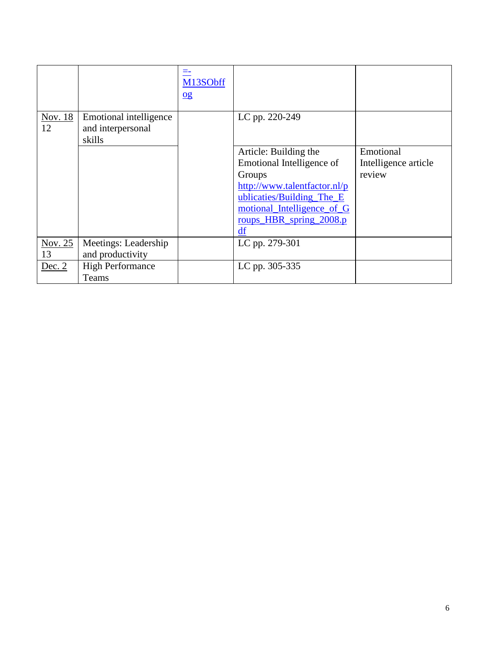|               |                                                       | M13SObff<br>$\overline{0g}$ |                                                                                                                                                                                          |                                             |
|---------------|-------------------------------------------------------|-----------------------------|------------------------------------------------------------------------------------------------------------------------------------------------------------------------------------------|---------------------------------------------|
| Nov. 18<br>12 | Emotional intelligence<br>and interpersonal<br>skills |                             | LC pp. 220-249                                                                                                                                                                           |                                             |
|               |                                                       |                             | Article: Building the<br>Emotional Intelligence of<br>Groups<br>http://www.talentfactor.nl/p<br>ublicaties/Building The E<br>motional Intelligence of G<br>roups HBR spring 2008.p<br>df | Emotional<br>Intelligence article<br>review |
| Nov. 25<br>13 | Meetings: Leadership<br>and productivity              |                             | LC pp. 279-301                                                                                                                                                                           |                                             |
| Dec. $2$      | <b>High Performance</b><br>Teams                      |                             | LC pp. 305-335                                                                                                                                                                           |                                             |